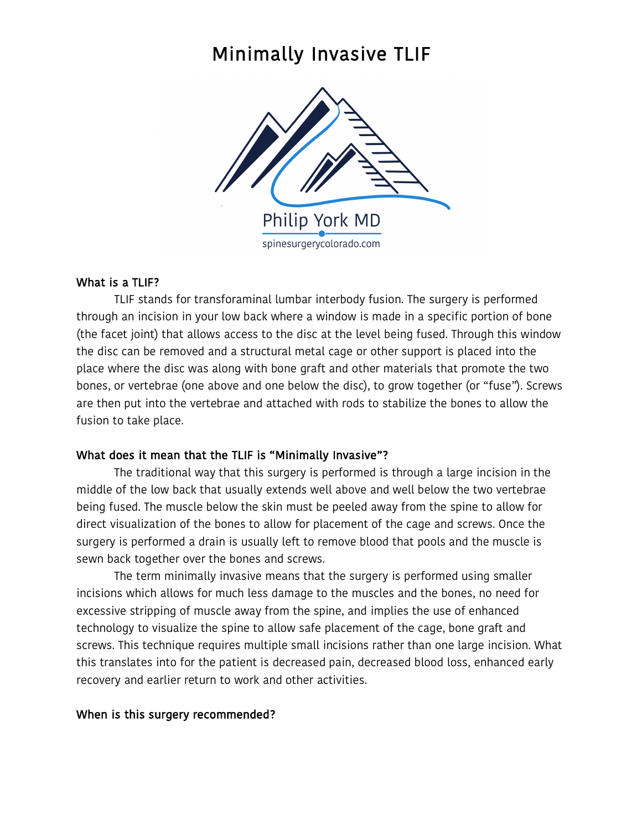# Minimally Invasive TLIF



## What is a TLIF?

TLIF stands for transforaminal lumbar interbody fusion. The surgery is performed through an incision in your low back where a window is made in a specific portion of bone (the facet joint) that allows access to the disc at the level being fused. Through this window the disc can be removed and a structural metal cage or other support is placed into the place where the disc was along with bone graft and other materials that promote the two bones, or vertebrae (one above and one below the disc), to grow together (or "fuse"). Screws are then put into the vertebrae and attached with rods to stabilize the bones to allow the fusion to take place.

## What does it mean that the TLIF is "Minimally Invasive"?

The traditional way that this surgery is performed is through a large incision in the middle of the low back that usually extends well above and well below the two vertebrae being fused. The muscle below the skin must be peeled away from the spine to allow for direct visualization of the bones to allow for placement of the cage and screws. Once the surgery is performed a drain is usually left to remove blood that pools and the muscle is sewn back together over the bones and screws.

The term minimally invasive means that the surgery is performed using smaller incisions which allows for much less damage to the muscles and the bones, no need for excessive stripping of muscle away from the spine, and implies the use of enhanced technology to visualize the spine to allow safe placement of the cage, bone graft and screws. This technique requires multiple small incisions rather than one large incision. What this translates into for the patient is decreased pain, decreased blood loss, enhanced early recovery and earlier return to work and other activities.

## When is this surgery recommended?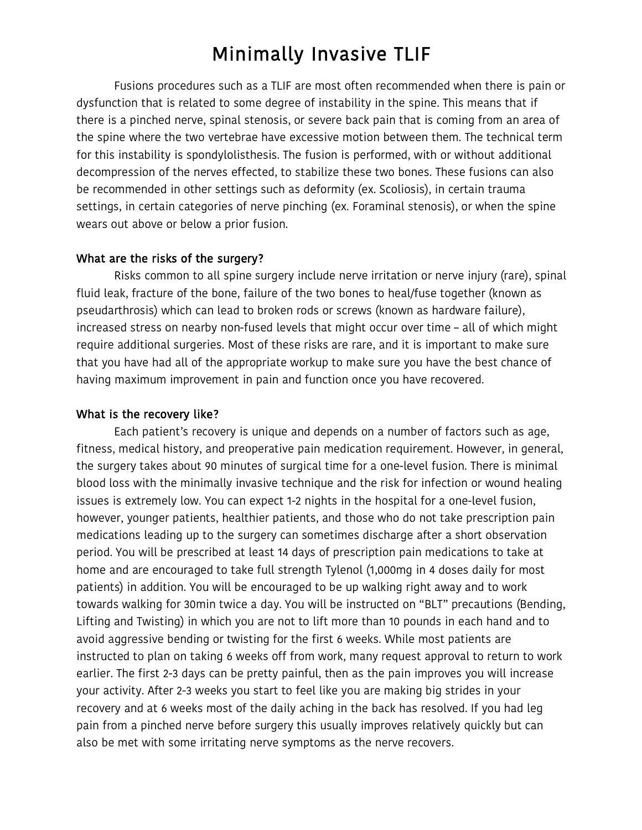# Minimally Invasive TLIF

Fusions procedures such as a TLIF are most often recommended when there is pain or dysfunction that is related to some degree of instability in the spine. This means that if there is a pinched nerve, spinal stenosis, or severe back pain that is coming from an area of the spine where the two vertebrae have excessive motion between them. The technical term for this instability is spondylolisthesis. The fusion is performed, with or without additional decompression of the nerves effected, to stabilize these two bones. These fusions can also be recommended in other settings such as deformity (ex. Scoliosis), in certain trauma settings, in certain categories of nerve pinching (ex. Foraminal stenosis), or when the spine wears out above or below a prior fusion.

#### What are the risks of the surgery?

Risks common to all spine surgery include nerve irritation or nerve injury (rare), spinal fluid leak, fracture of the bone, failure of the two bones to heal/fuse together (known as pseudarthrosis) which can lead to broken rods or screws (known as hardware failure), increased stress on nearby non-fused levels that might occur over time – all of which might require additional surgeries. Most of these risks are rare, and it is important to make sure that you have had all of the appropriate workup to make sure you have the best chance of having maximum improvement in pain and function once you have recovered.

#### What is the recovery like?

Each patient's recovery is unique and depends on a number of factors such as age, fitness, medical history, and preoperative pain medication requirement. However, in general, the surgery takes about 90 minutes of surgical time for a one-level fusion. There is minimal blood loss with the minimally invasive technique and the risk for infection or wound healing issues is extremely low. You can expect 1-2 nights in the hospital for a one-level fusion, however, younger patients, healthier patients, and those who do not take prescription pain medications leading up to the surgery can sometimes discharge after a short observation period. You will be prescribed at least 14 days of prescription pain medications to take at home and are encouraged to take full strength Tylenol (1,000mg in 4 doses daily for most patients) in addition. You will be encouraged to be up walking right away and to work towards walking for 30min twice a day. You will be instructed on "BLT" precautions (Bending, Lifting and Twisting) in which you are not to lift more than 10 pounds in each hand and to avoid aggressive bending or twisting for the first 6 weeks. While most patients are instructed to plan on taking 6 weeks off from work, many request approval to return to work earlier. The first 2-3 days can be pretty painful, then as the pain improves you will increase your activity. After 2-3 weeks you start to feel like you are making big strides in your recovery and at 6 weeks most of the daily aching in the back has resolved. If you had leg pain from a pinched nerve before surgery this usually improves relatively quickly but can also be met with some irritating nerve symptoms as the nerve recovers.